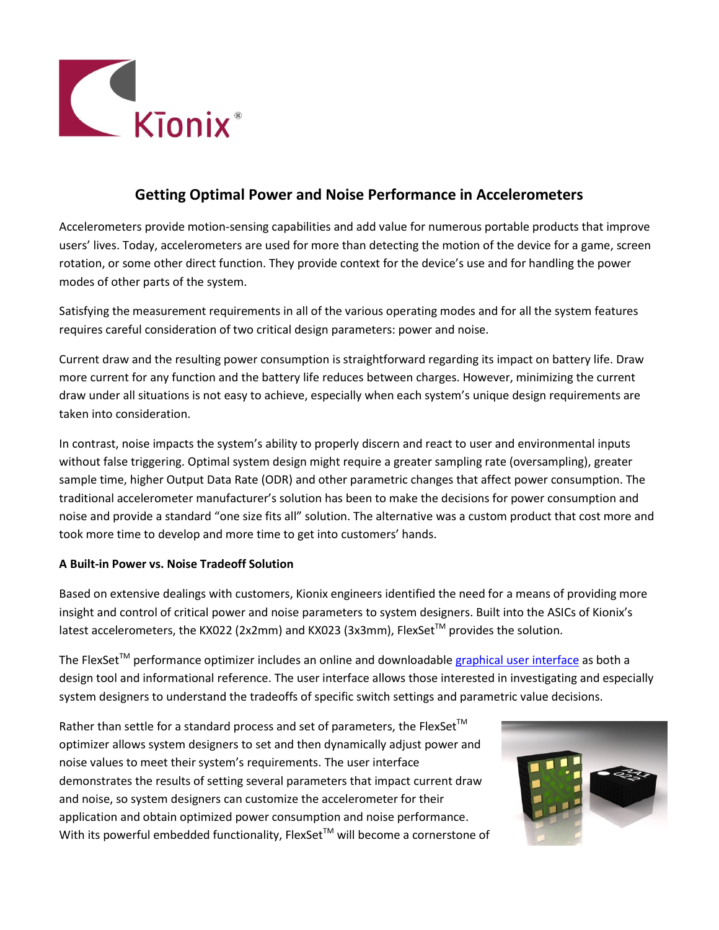

## **Getting Optimal Power and Noise Performance in Accelerometers**

Accelerometers provide motion-sensing capabilities and add value for numerous portable products that improve users' lives. Today, accelerometers are used for more than detecting the motion of the device for a game, screen rotation, or some other direct function. They provide context for the device's use and for handling the power modes of other parts of the system.

Satisfying the measurement requirements in all of the various operating modes and for all the system features requires careful consideration of two critical design parameters: power and noise.

Current draw and the resulting power consumption is straightforward regarding its impact on battery life. Draw more current for any function and the battery life reduces between charges. However, minimizing the current draw under all situations is not easy to achieve, especially when each system's unique design requirements are taken into consideration.

In contrast, noise impacts the system's ability to properly discern and react to user and environmental inputs without false triggering. Optimal system design might require a greater sampling rate (oversampling), greater sample time, higher Output Data Rate (ODR) and other parametric changes that affect power consumption. The traditional accelerometer manufacturer's solution has been to make the decisions for power consumption and noise and provide a standard "one size fits all" solution. The alternative was a custom product that cost more and took more time to develop and more time to get into customers' hands.

## **A Built-in Power vs. Noise Tradeoff Solution**

Based on extensive dealings with customers, Kionix engineers identified the need for a means of providing more insight and control of critical power and noise parameters to system designers. Built into the ASICs of Kionix's latest accelerometers, the KX022 (2x2mm) and KX023 (3x3mm), FlexSet<sup>TM</sup> provides the solution.

The FlexSet™ performance optimizer includes an online and downloadable [graphical user interface](http://kionix.com/flexset) as both a design tool and informational reference. The user interface allows those interested in investigating and especially system designers to understand the tradeoffs of specific switch settings and parametric value decisions.

Rather than settle for a standard process and set of parameters, the FlexSet<sup>™</sup> optimizer allows system designers to set and then dynamically adjust power and noise values to meet their system's requirements. The user interface demonstrates the results of setting several parameters that impact current draw and noise, so system designers can customize the accelerometer for their application and obtain optimized power consumption and noise performance. With its powerful embedded functionality, FlexSet<sup>TM</sup> will become a cornerstone of

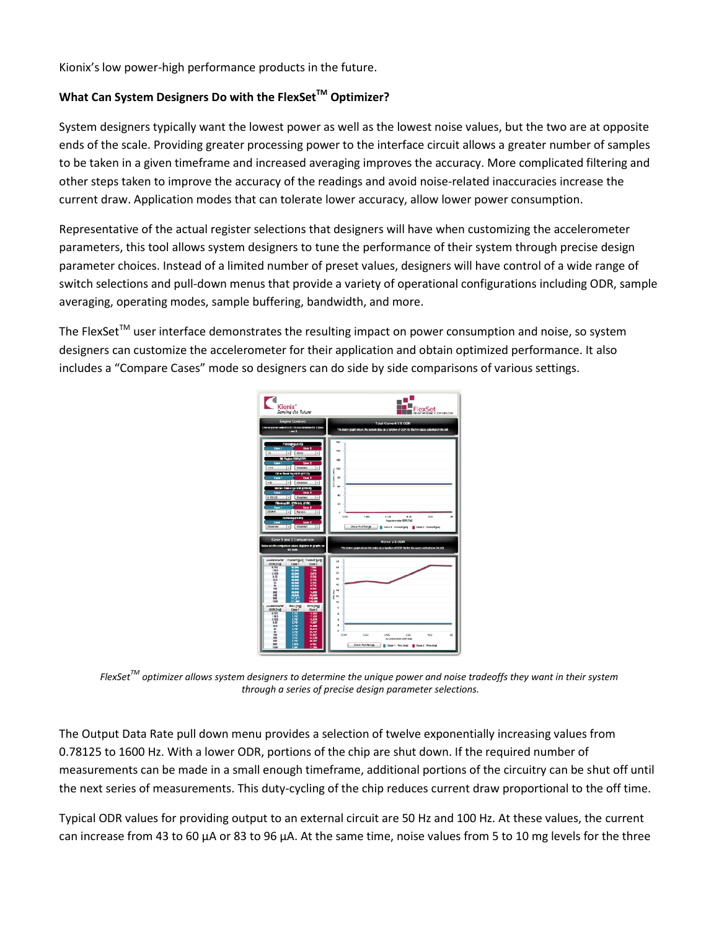Kionix's low power-high performance products in the future.

## **What Can System Designers Do with the FlexSetTM Optimizer?**

System designers typically want the lowest power as well as the lowest noise values, but the two are at opposite ends of the scale. Providing greater processing power to the interface circuit allows a greater number of samples to be taken in a given timeframe and increased averaging improves the accuracy. More complicated filtering and other steps taken to improve the accuracy of the readings and avoid noise-related inaccuracies increase the current draw. Application modes that can tolerate lower accuracy, allow lower power consumption.

Representative of the actual register selections that designers will have when customizing the accelerometer parameters, this tool allows system designers to tune the performance of their system through precise design parameter choices. Instead of a limited number of preset values, designers will have control of a wide range of switch selections and pull-down menus that provide a variety of operational configurations including ODR, sample averaging, operating modes, sample buffering, bandwidth, and more.

The FlexSet™ user interface demonstrates the resulting impact on power consumption and noise, so system designers can customize the accelerometer for their application and obtain optimized performance. It also includes a "Compare Cases" mode so designers can do side by side comparisons of various settings.



*FlexSetTM optimizer allows system designers to determine the unique power and noise tradeoffs they want in their system through a series of precise design parameter selections.*

The Output Data Rate pull down menu provides a selection of twelve exponentially increasing values from 0.78125 to 1600 Hz. With a lower ODR, portions of the chip are shut down. If the required number of measurements can be made in a small enough timeframe, additional portions of the circuitry can be shut off until the next series of measurements. This duty-cycling of the chip reduces current draw proportional to the off time.

Typical ODR values for providing output to an external circuit are 50 Hz and 100 Hz. At these values, the current can increase from 43 to 60 µA or 83 to 96 µA. At the same time, noise values from 5 to 10 mg levels for the three